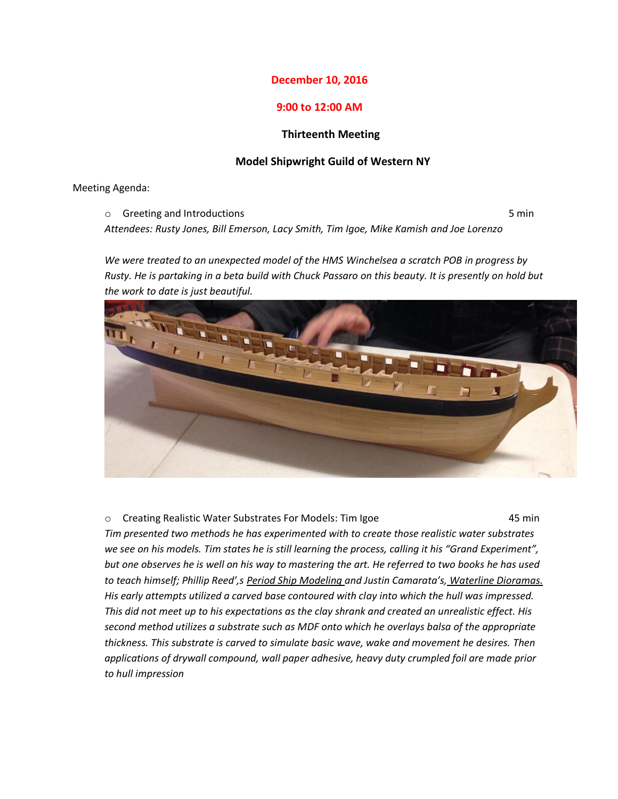## **December 10, 2016**

## **9:00 to 12:00 AM**

## **Thirteenth Meeting**

## **Model Shipwright Guild of Western NY**

Meeting Agenda:

o Greeting and Introductions 6 minutes and 10 minutes of the state of the state of the state of the state of the state of the state of the state of the state of the state of the state of the state of the state of the state

*Attendees: Rusty Jones, Bill Emerson, Lacy Smith, Tim Igoe, Mike Kamish and Joe Lorenzo*

*We were treated to an unexpected model of the HMS Winchelsea a scratch POB in progress by Rusty. He is partaking in a beta build with Chuck Passaro on this beauty. It is presently on hold but the work to date is just beautiful.*



o Creating Realistic Water Substrates For Models: Tim Igoe 45 min *Tim presented two methods he has experimented with to create those realistic water substrates we see on his models. Tim states he is still learning the process, calling it his "Grand Experiment", but one observes he is well on his way to mastering the art. He referred to two books he has used to teach himself; Phillip Reed',s Period Ship Modeling and Justin Camarata's, Waterline Dioramas. His early attempts utilized a carved base contoured with clay into which the hull was impressed. This did not meet up to his expectations as the clay shrank and created an unrealistic effect. His second method utilizes a substrate such as MDF onto which he overlays balsa of the appropriate thickness. This substrate is carved to simulate basic wave, wake and movement he desires. Then applications of drywall compound, wall paper adhesive, heavy duty crumpled foil are made prior to hull impression*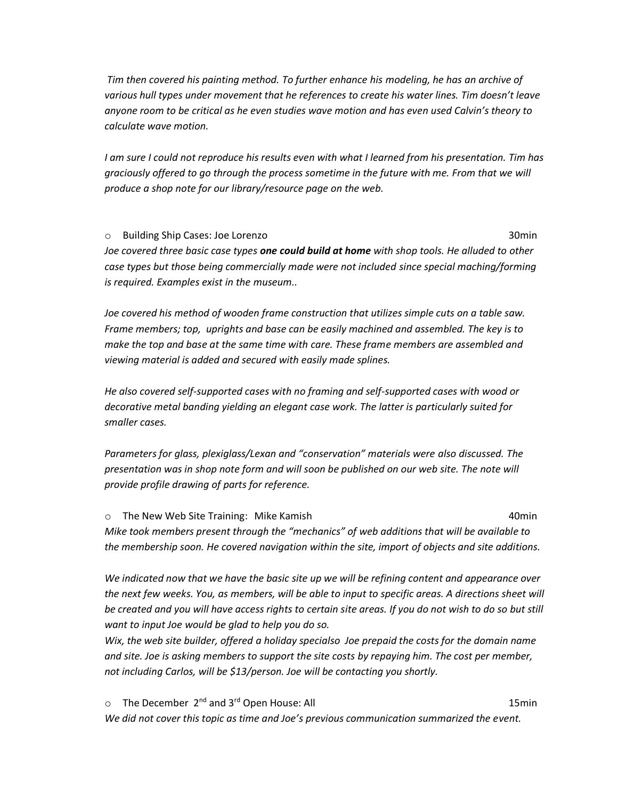*Tim then covered his painting method. To further enhance his modeling, he has an archive of various hull types under movement that he references to create his water lines. Tim doesn't leave anyone room to be critical as he even studies wave motion and has even used Calvin's theory to calculate wave motion.*

*I am sure I could not reproduce his results even with what I learned from his presentation. Tim has graciously offered to go through the process sometime in the future with me. From that we will produce a shop note for our library/resource page on the web.*

o Building Ship Cases: Joe Lorenzo 30min *Joe covered three basic case types one could build at home with shop tools. He alluded to other case types but those being commercially made were not included since special maching/forming is required. Examples exist in the museum..*

*Joe covered his method of wooden frame construction that utilizes simple cuts on a table saw. Frame members; top, uprights and base can be easily machined and assembled. The key is to make the top and base at the same time with care. These frame members are assembled and viewing material is added and secured with easily made splines.*

*He also covered self-supported cases with no framing and self-supported cases with wood or decorative metal banding yielding an elegant case work. The latter is particularly suited for smaller cases.*

*Parameters for glass, plexiglass/Lexan and "conservation" materials were also discussed. The presentation was in shop note form and will soon be published on our web site. The note will provide profile drawing of parts for reference.*

o The New Web Site Training: Mike Kamish 40min *Mike took members present through the "mechanics" of web additions that will be available to the membership soon. He covered navigation within the site, import of objects and site additions.*

*We indicated now that we have the basic site up we will be refining content and appearance over the next few weeks. You, as members, will be able to input to specific areas. A directions sheet will be created and you will have access rights to certain site areas. If you do not wish to do so but still want to input Joe would be glad to help you do so.* 

*Wix, the web site builder, offered a holiday specialso Joe prepaid the costs for the domain name and site. Joe is asking members to support the site costs by repaying him. The cost per member, not including Carlos, will be \$13/person. Joe will be contacting you shortly.*

o The December 2<sup>nd</sup> and 3<sup>rd</sup> Open House: All 15min *We did not cover this topic as time and Joe's previous communication summarized the event.*